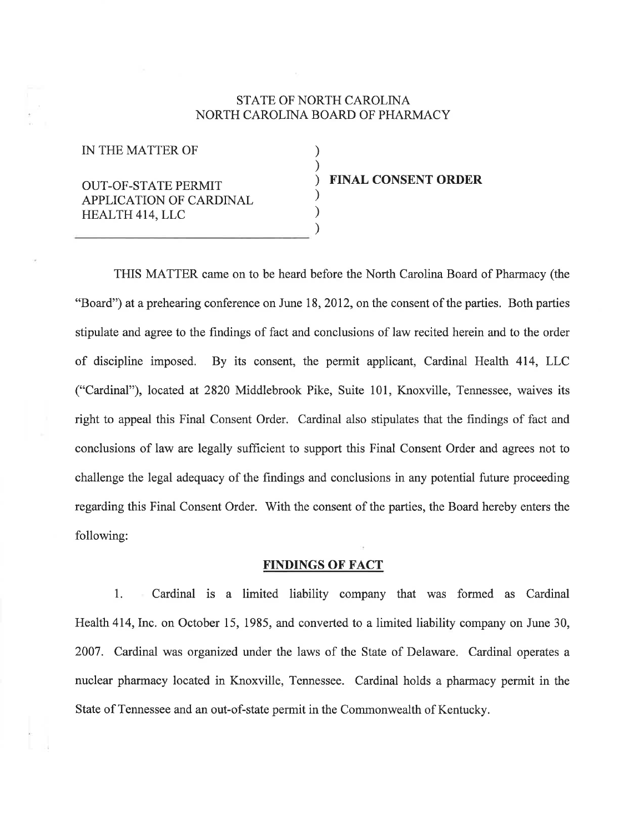# STATE OF NORTH CAROLINA NORTH CAROLINA BOARD OF PHARMACY

) ) ) ) ) )

IN THE MATTER OF

# OUT-OF-STATE PERMIT APPLICATION OF CARDINAL HEALTH 4I4,LLC

#### FINAL CONSENT ORDER

THIS MATTER came on to be heard before the North Carolina Board of Pharmacy (the "Board") at a prehearing conference on June 18, 2012, on the consent of the parties. Both parties stipulate and agree to the findings of fact and conclusions of law recited herein and to the order of discipline imposed. By its consent, the permit applicant, Cardinal Health 414, LLC ("Cardinal"), located at 2820 Middlebrook Pike, Suite 101, Knoxville, Tennessee, waives its right to appeal this Final Consent Order. Cardinal also stipulates that the frndings of fact and conclusions of law are legally sufficient to support this Final Consent Order and agrees not to challenge the legal adequacy of the findings and conclusions in any potential future proceeding regarding this Final Consent Order. With the consent of the parties, the Board hereby enters the following:

# FINDINGS OF FACT

1. Cardinal is a limited liability company that was formed as Cardinal Health 414, Inc. on October 15, 1985, and converted to a limited liability company on June 30, 2007. Cardinal was organized under the laws of the State of Delaware. Cardinal operates <sup>a</sup> nuclear pharmacy located in Knoxville, Tennessee. Cardinal holds a pharmacy permit in the State of Tennessee and an out-of-state permit in the Commonwealth of Kentucky.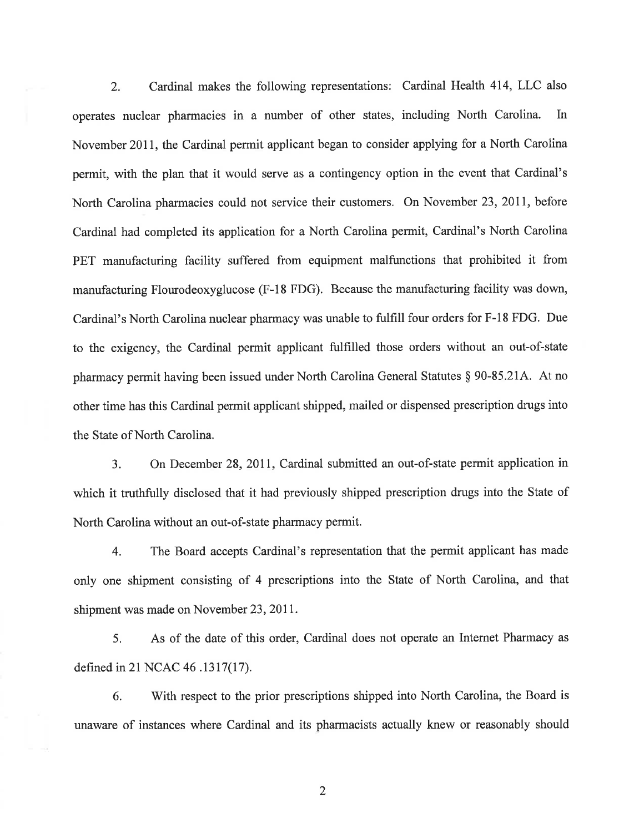2. Cardinal makes the following representations: Cardinal Health 414, LLC also operates nuclear pharmacies in a number of other states, including North Carolina. In November 2011, the Cardinal permit applicant began to consider applying for a North Carolina permit, with the plan that it would serve as a contingency option in the event that Cardinal's North Carolina pharmacies could not service their customers. On November 23,201I, before Cardinal had completed its application for a North Carolina permit, Cardinal's North Carolina PET manufacturing facility suffered from equipment malfunctions that prohibited it from manufacturing Flourodeoxyglucose (F-18 FDG). Because the manufacturing facility was down, Cardinal's North Carolina nuclear pharmacy was unable to fulfill four orders for F-l8 FDG. Due to the exigency, the Cardinal permit applicant fulfrlled those orders without an out-of-state pharmacy permit having been issued under North Carolina General Statutes \$ 90-85.214. At no other time has this Cardinal permit applicant shipped, mailed or dispensed prescription drugs into the State of North Carolina.

3. On December 28,201I, Cardinal submitted an out-of-state permit application in which it truthfully disclosed that it had previously shipped prescription drugs into the State of North Carolina without an out-of-state pharmacy permit.

4. The Board accepts Cardinal's representation that the permit applicant has made only one shipment consisting of 4 prescriptions into the State of North Carolina, and that shipment was made on November 23,2011.

5. As of the date of this order, Cardinal does not operate an Internet Pharmacy as defined in 21 NCAC 46 .1317(17).

6. With respect to the prior prescriptions shipped into North Carolina, the Board is unaware of instances where Cardinal and its pharmacists actually knew or reasonably should

)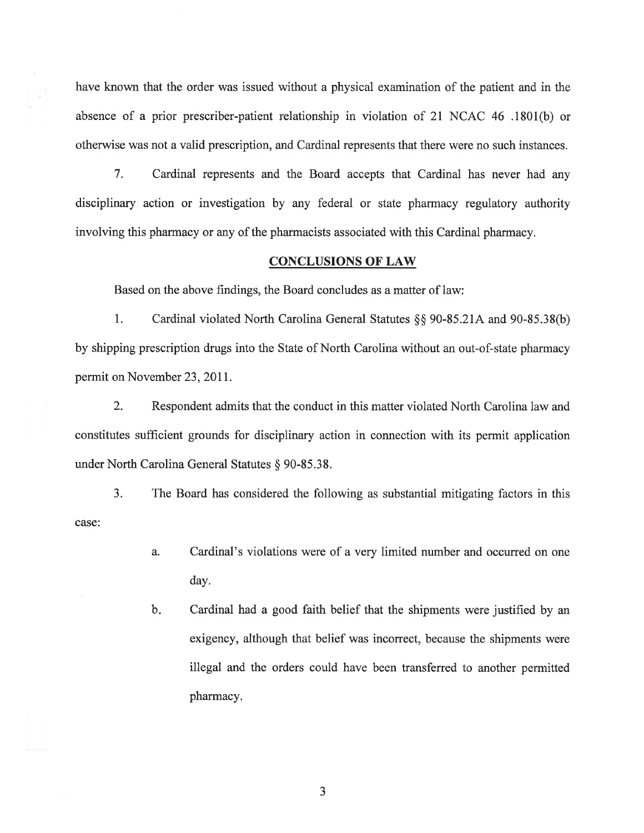have known that the order was issued without a physical examination of the patient and in the absence of a prior prescriber-patient relationship in violation of 21 NCAC 46 .1801(b) or otherwise was not a valid prescription, and Cardinal represents that there were no such instances.

7. Cardinal represents and the Board accepts that Cardinal has never had any disciplinary action or investigation by any federal or state pharmacy regulatory authority involving this pharmacy or any of the pharmacists associated with this Cardinal pharmacy,

## CONCLUSIONS OF LAW

Based on the above findings, the Board concludes as a matter of law:

l. Cardinal violated North Carolina General Statutes \$\$ 90-85.214 and 90-85.38(b) by shipping prescription drugs into the State of North Carolina without an out-of-state pharmacy permit on November 23, 2011.

2. Respondent admits that the conduct in this matter violated North Carolina law and constitutes sufficient grounds for disciplinary action in connection with its permit application under North Carolina General Statutes \$ 90-85.38.

3. The Board has considered the following as substantial mitigating factors in this case:

- Cardinal's violations were of a very limited number and occurred on one day. a.
- Cardinal had a good faith belief that the shipments were justified by an exigency, although that belief was incorrect, because the shipments were illegal and the orders could have been transferred to another permitted pharmacy.  $b_{r}$

J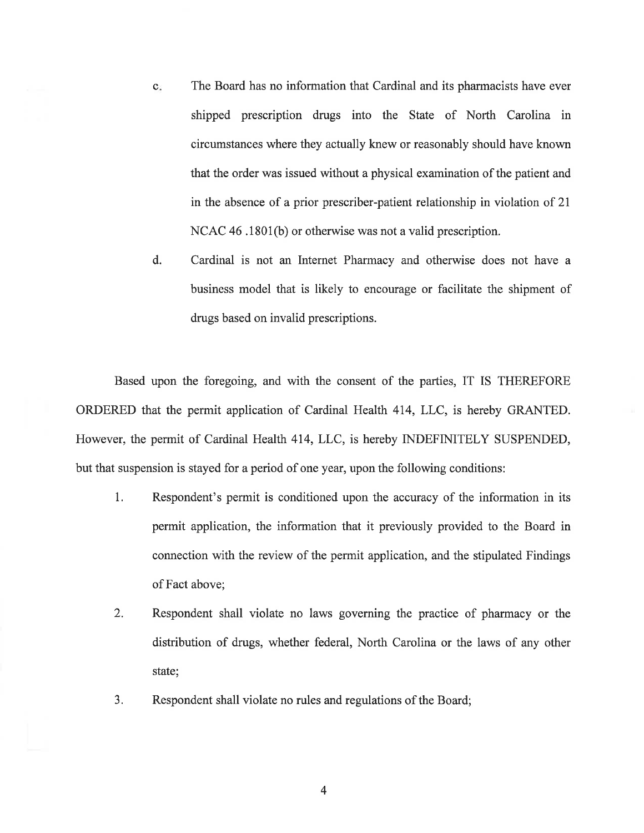- The Board has no information that Cardinal and its pharmacists have ever shipped prescription drugs into the State of North Carolina in circumstances where they actually knew or reasonably should have known that the order was issued without a physical examination of the patient and in the absence of a prior prescriber-patient relationship in violation of 21 NCAC 46 .1801(b) or otherwise was not a valid prescription.  $\mathbf{c}$ .
- Cardinal is not an Internet Pharmacy and otherwise does not have <sup>a</sup> business model that is likely to encourage or facilitate the shipment of drugs based on invalid prescriptions. d.

Based upon the foregoing, and with the consent of the parties, IT IS THEREFORE ORDERED that the permit application of Cardinal Health 474, LLC, is hereby GRANTED. However, the permit of Cardinal Health 4I4, LLC, is hereby INDEFINITELY SUSPENDED, but that suspension is stayed for a period of one year, upon the following conditions:

- 1. Respondent's permit is conditioned upon the accuracy of the information in its permit application, the information that it previously provided to the Board in connection with the review of the permit application, and the stipulated Findings of Fact above;
- 2. Respondent shall violate no laws governing the practice of pharmacy or the distribution of drugs, whether federal, North Carolina or the laws of any other state;
- 3. Respondent shall violate no rules and regulations of the Board;

4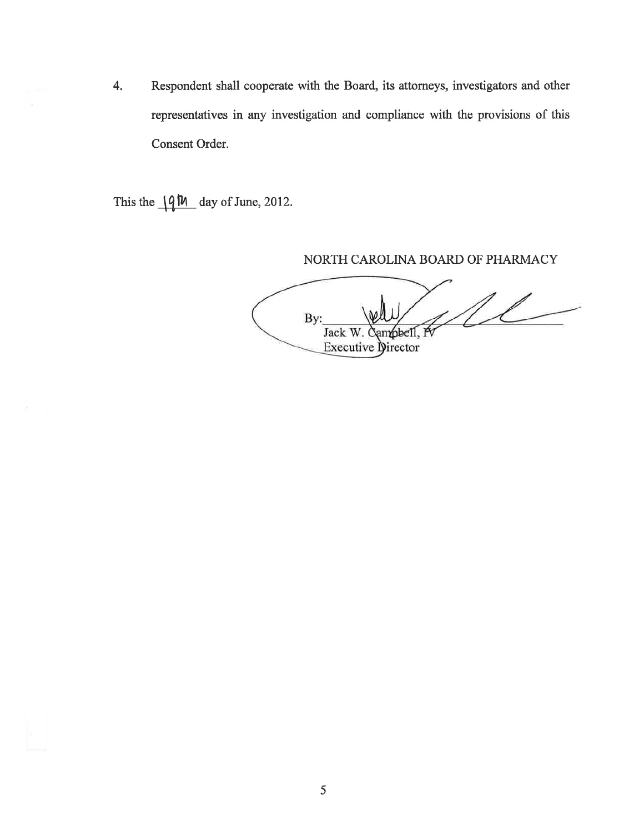4. Respondent shall cooperate with the Board, its attorneys, investigators and other representatives in any investigation and compliance with the provisions of this Consent Order.

This the  $\sqrt{4M}$  day of June, 2012.

NORTH CAROLINA BOARD OF PHARMACY

11 By: Jack W. Campbell, P Executive Director